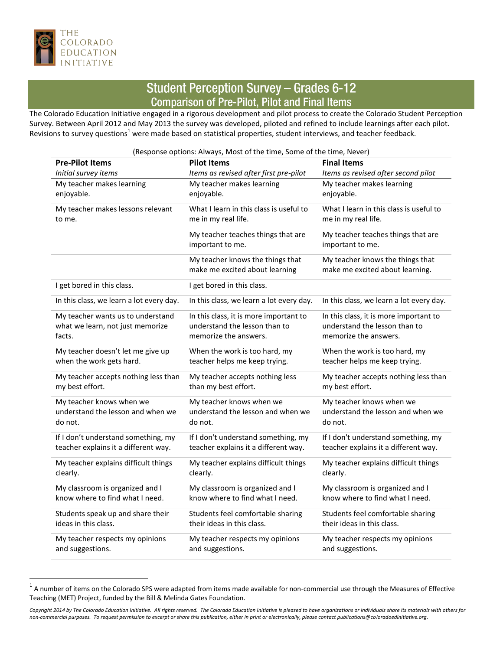

 $\overline{a}$ 

## **Student Perception Survey - Grades 6-12 Comparison of Pre-Pilot, Pilot and Final Items**

The Colorado Education Initiative engaged in a rigorous development and pilot process to create the Colorado Student Perception Survey. Between April 2012 and May 2013 the survey was developed, piloted and refined to include learnings after each pilot. Revisions to survey questions<sup>1</sup> were made based on statistical properties, student interviews, and teacher feedback.

| <b>Pre-Pilot Items</b>                   | <b>Pilot Items</b>                                                 | <b>Final Items</b>                                                  |
|------------------------------------------|--------------------------------------------------------------------|---------------------------------------------------------------------|
| Initial survey items                     | Items as revised after first pre-pilot                             | Items as revised after second pilot                                 |
| My teacher makes learning                | My teacher makes learning                                          | My teacher makes learning                                           |
| enjoyable.                               | enjoyable.                                                         | enjoyable.                                                          |
| My teacher makes lessons relevant        | What I learn in this class is useful to                            | What I learn in this class is useful to                             |
| to me.                                   | me in my real life.                                                | me in my real life.                                                 |
|                                          | My teacher teaches things that are<br>important to me.             | My teacher teaches things that are<br>important to me.              |
|                                          | My teacher knows the things that<br>make me excited about learning | My teacher knows the things that<br>make me excited about learning. |
| I get bored in this class.               | I get bored in this class.                                         |                                                                     |
| In this class, we learn a lot every day. | In this class, we learn a lot every day.                           | In this class, we learn a lot every day.                            |
| My teacher wants us to understand        | In this class, it is more important to                             | In this class, it is more important to                              |
| what we learn, not just memorize         | understand the lesson than to                                      | understand the lesson than to                                       |
| facts.                                   | memorize the answers.                                              | memorize the answers.                                               |
| My teacher doesn't let me give up        | When the work is too hard, my                                      | When the work is too hard, my                                       |
| when the work gets hard.                 | teacher helps me keep trying.                                      | teacher helps me keep trying.                                       |
| My teacher accepts nothing less than     | My teacher accepts nothing less                                    | My teacher accepts nothing less than                                |
| my best effort.                          | than my best effort.                                               | my best effort.                                                     |
| My teacher knows when we                 | My teacher knows when we                                           | My teacher knows when we                                            |
| understand the lesson and when we        | understand the lesson and when we                                  | understand the lesson and when we                                   |
| do not.                                  | do not.                                                            | do not.                                                             |
| If I don't understand something, my      | If I don't understand something, my                                | If I don't understand something, my                                 |
| teacher explains it a different way.     | teacher explains it a different way.                               | teacher explains it a different way.                                |
| My teacher explains difficult things     | My teacher explains difficult things                               | My teacher explains difficult things                                |
| clearly.                                 | clearly.                                                           | clearly.                                                            |
| My classroom is organized and I          | My classroom is organized and I                                    | My classroom is organized and I                                     |
| know where to find what I need.          | know where to find what I need.                                    | know where to find what I need.                                     |
| Students speak up and share their        | Students feel comfortable sharing                                  | Students feel comfortable sharing                                   |
| ideas in this class.                     | their ideas in this class.                                         | their ideas in this class.                                          |
| My teacher respects my opinions          | My teacher respects my opinions                                    | My teacher respects my opinions                                     |
| and suggestions.                         | and suggestions.                                                   | and suggestions.                                                    |

<sup>(</sup>Response options: Always, Most of the time, Some of the time, Never)

 $^1$  A number of items on the Colorado SPS were adapted from items made available for non-commercial use through the Measures of Effective Teaching (MET) Project, funded by the Bill & Melinda Gates Foundation.

*Copyright 2014 by The Colorado Education Initiative. All rights reserved. The Colorado Education Initiative is pleased to have organizations or individuals share its materials with others for non-commercial purposes. To request permission to excerpt or share this publication, either in print or electronically, please contact publications@coloradoedinitiative.org.*